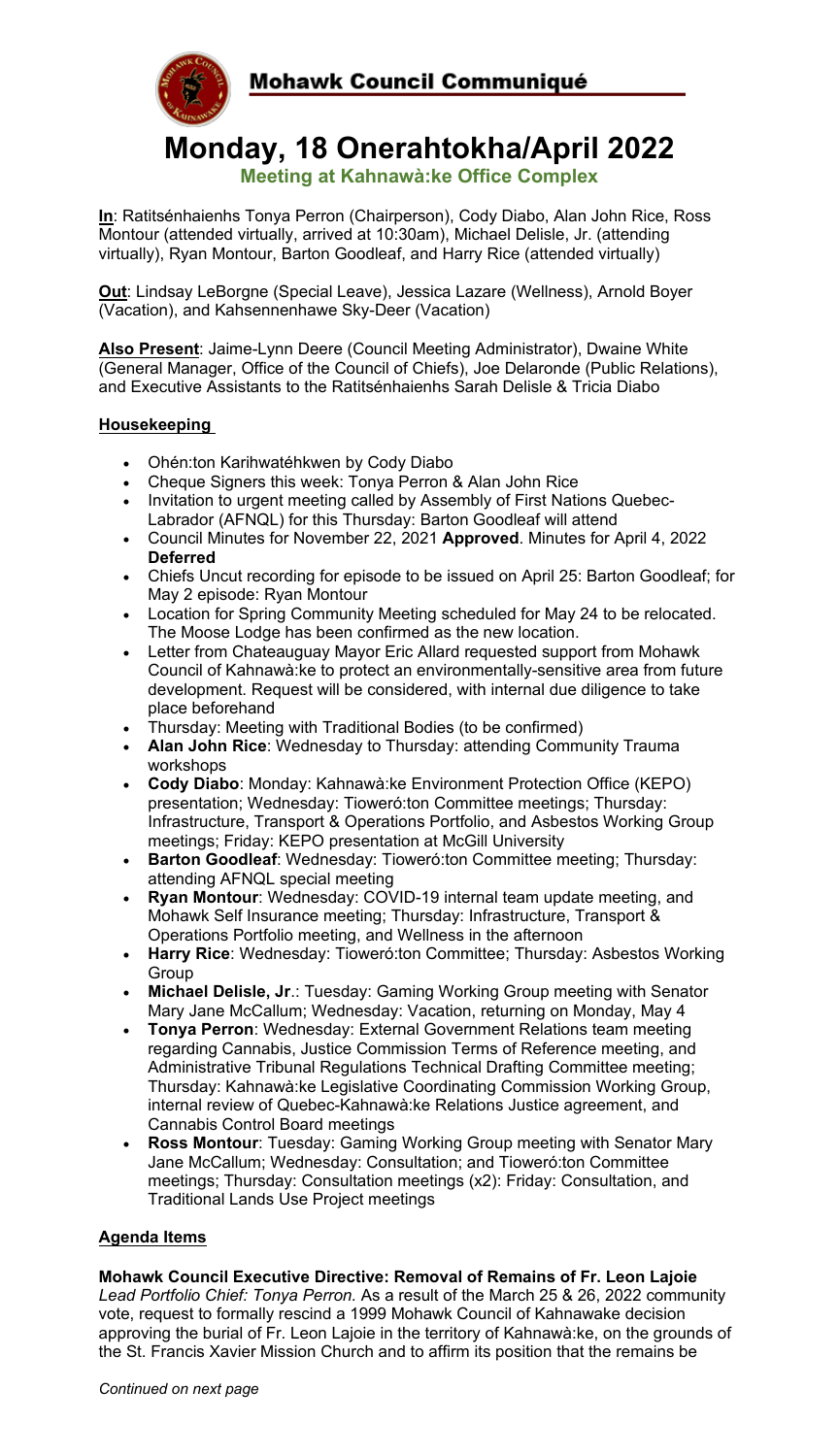

## **Monday, 18 Onerahtokha/April 2022**

**Meeting at Kahnawà:ke Office Complex**

**In**: Ratitsénhaienhs Tonya Perron (Chairperson), Cody Diabo, Alan John Rice, Ross Montour (attended virtually, arrived at 10:30am), Michael Delisle, Jr. (attending virtually), Ryan Montour, Barton Goodleaf, and Harry Rice (attended virtually)

**Out**: Lindsay LeBorgne (Special Leave), Jessica Lazare (Wellness), Arnold Boyer (Vacation), and Kahsennenhawe Sky-Deer (Vacation)

**Also Present**: Jaime-Lynn Deere (Council Meeting Administrator), Dwaine White (General Manager, Office of the Council of Chiefs), Joe Delaronde (Public Relations), and Executive Assistants to the Ratitsénhaienhs Sarah Delisle & Tricia Diabo

## **Housekeeping**

- Ohén:ton Karihwatéhkwen by Cody Diabo
- Cheque Signers this week: Tonya Perron & Alan John Rice
- Invitation to urgent meeting called by Assembly of First Nations Quebec-Labrador (AFNQL) for this Thursday: Barton Goodleaf will attend
- Council Minutes for November 22, 2021 **Approved**. Minutes for April 4, 2022 **Deferred**
- Chiefs Uncut recording for episode to be issued on April 25: Barton Goodleaf; for May 2 episode: Ryan Montour
- Location for Spring Community Meeting scheduled for May 24 to be relocated. The Moose Lodge has been confirmed as the new location.
- Letter from Chateauguay Mayor Eric Allard requested support from Mohawk Council of Kahnawà:ke to protect an environmentally-sensitive area from future development. Request will be considered, with internal due diligence to take place beforehand
- Thursday: Meeting with Traditional Bodies (to be confirmed)
- **Alan John Rice**: Wednesday to Thursday: attending Community Trauma workshops
- **Cody Diabo**: Monday: Kahnawà:ke Environment Protection Office (KEPO) presentation; Wednesday: Tioweró:ton Committee meetings; Thursday: Infrastructure, Transport & Operations Portfolio, and Asbestos Working Group meetings; Friday: KEPO presentation at McGill University
- **Barton Goodleaf**: Wednesday: Tioweró:ton Committee meeting; Thursday: attending AFNQL special meeting
- **Ryan Montour**: Wednesday: COVID-19 internal team update meeting, and Mohawk Self Insurance meeting; Thursday: Infrastructure, Transport & Operations Portfolio meeting, and Wellness in the afternoon
- **Harry Rice**: Wednesday: Tioweró:ton Committee; Thursday: Asbestos Working Group
- **Michael Delisle, Jr**.: Tuesday: Gaming Working Group meeting with Senator Mary Jane McCallum; Wednesday: Vacation, returning on Monday, May 4
- **Tonya Perron**: Wednesday: External Government Relations team meeting regarding Cannabis, Justice Commission Terms of Reference meeting, and Administrative Tribunal Regulations Technical Drafting Committee meeting; Thursday: Kahnawà:ke Legislative Coordinating Commission Working Group, internal review of Quebec-Kahnawà:ke Relations Justice agreement, and Cannabis Control Board meetings
- **Ross Montour**: Tuesday: Gaming Working Group meeting with Senator Mary Jane McCallum; Wednesday: Consultation; and Tioweró:ton Committee meetings; Thursday: Consultation meetings (x2): Friday: Consultation, and Traditional Lands Use Project meetings

## **Agenda Items**

**Mohawk Council Executive Directive: Removal of Remains of Fr. Leon Lajoie** *Lead Portfolio Chief: Tonya Perron.* As a result of the March 25 & 26, 2022 community vote, request to formally rescind a 1999 Mohawk Council of Kahnawake decision approving the burial of Fr. Leon Lajoie in the territory of Kahnawà:ke, on the grounds of the St. Francis Xavier Mission Church and to affirm its position that the remains be